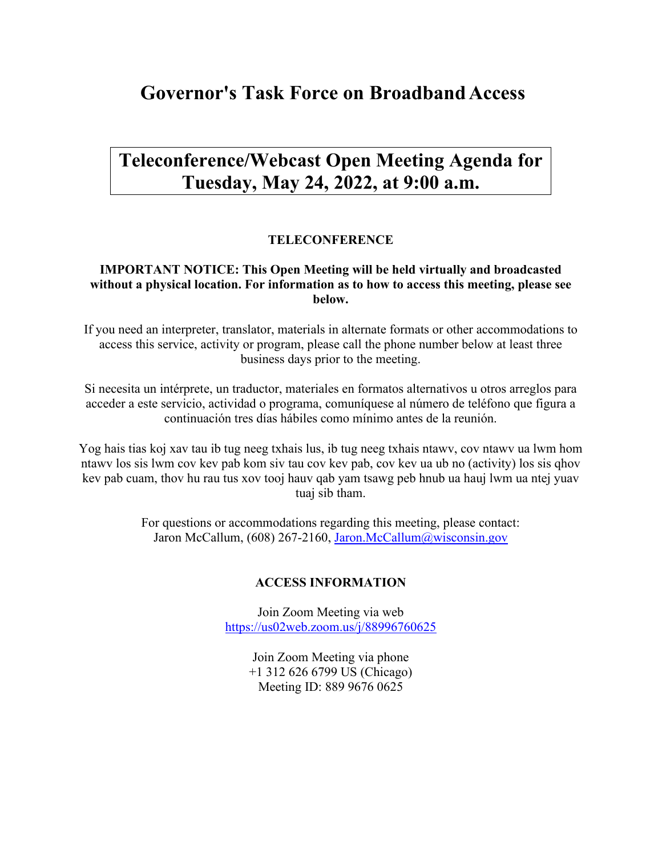# **Governor's Task Force on BroadbandAccess**

## **Teleconference/Webcast Open Meeting Agenda for Tuesday, May 24, 2022, at 9:00 a.m.**

### **TELECONFERENCE**

### **IMPORTANT NOTICE: This Open Meeting will be held virtually and broadcasted without a physical location. For information as to how to access this meeting, please see below.**

If you need an interpreter, translator, materials in alternate formats or other accommodations to access this service, activity or program, please call the phone number below at least three business days prior to the meeting.

Si necesita un intérprete, un traductor, materiales en formatos alternativos u otros arreglos para acceder a este servicio, actividad o programa, comuníquese al número de teléfono que figura a continuación tres días hábiles como mínimo antes de la reunión.

Yog hais tias koj xav tau ib tug neeg txhais lus, ib tug neeg txhais ntawv, cov ntawv ua lwm hom ntawv los sis lwm cov kev pab kom siv tau cov kev pab, cov kev ua ub no (activity) los sis qhov kev pab cuam, thov hu rau tus xov tooj hauv qab yam tsawg peb hnub ua hauj lwm ua ntej yuav tuaj sib tham.

> For questions or accommodations regarding this meeting, please contact: Jaron McCallum, (608) 267-2160, [Jaron.McCallum@wisconsin.gov](mailto:Jaron.McCallum@wisconsin.gov)

#### **ACCESS INFORMATION**

Join Zoom Meeting via web <https://us02web.zoom.us/j/88996760625>

> Join Zoom Meeting via phone +1 312 626 6799 US (Chicago) Meeting ID: 889 9676 0625